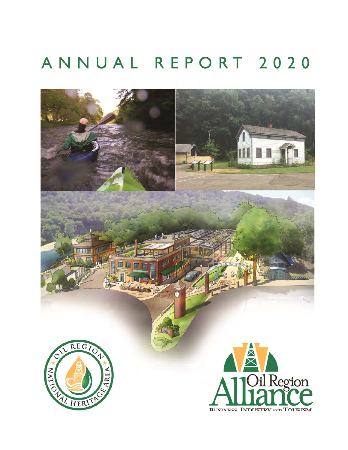# ANNUAL REPORT 2020

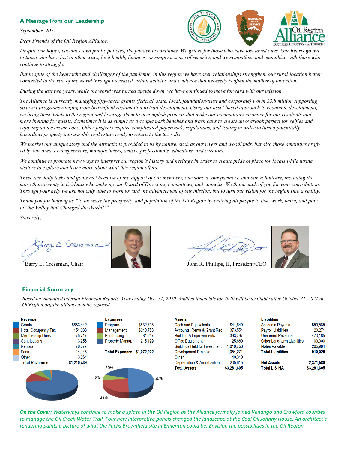## **A Message from our Leadership**

*September, 2021*

*Dear Friends of the Oil Region Alliance,*



*Despite our hopes, vaccines, and public policies, the pandemic continues. We grieve for those who have lost loved ones. Our hearts go out to those who have lost in other ways, be it health, finances, or simply a sense of security; and we sympathize and empathize with those who continue to struggle.*

*But in spite of the heartache and challenges of the pandemic, in this region we have seen relationships strengthen, our rural location better connected to the rest of the world through increased virtual activity, and evidence that necessity is often the mother of invention.*

*During the last two years, while the world was turned upside down, we have continued to move forward with our mission.* 

*The Alliance is currently managing fifty-seven grants (federal, state, local, foundation/trust and corporate) worth \$3.8 million supporting sixty-six programs ranging from brownfield reclamation to trail development. Using our asset-based approach to economic development, we bring these funds to the region and leverage them to accomplish projects that make our communities stronger for our residents and more inviting for guests. Sometimes it is as simple as a couple park benches and trash cans to create an overlook perfect for selfies and enjoying an ice cream cone. Other projects require complicated paperwork, regulations, and testing in order to turn a potentially hazardous property into useable real estate ready to return to the tax rolls.* 

*We market our unique story and the attractions provided to us by nature, such as our rivers and woodlands, but also those amenities crafted by our area's entrepreneurs, manufacturers, artists, professionals, educators, and curators.*

*We continue to promote new ways to interpret our region's history and heritage in order to create pride of place for locals while luring visitors to explore and learn more about what this region offers.*

*These are daily tasks and goals met because of the support of our members, our donors, our partners, and our volunteers, including the more than seventy individuals who make up our Board of Directors, committees, and councils. We thank each of you for your contribution. Through your help we are not only able to work toward the advancement of our mission, but to turn our vision for the region into a reality.*

*Thank you for helping us "to increase the prosperity and population of the Oil Region by enticing all people to live, work, learn, and play in 'the Valley that Changed the World!'"*

*Sincerely,* 

2020 man





Barry E. Cressman, Chair John R. Phillips, II, President/CEO

## **Financial Summary**

*Based on unaudited internal Financial Reports. Year ending Dec. 31, 2020. Audited financials for 2020 will be available after October 31, 2021 at OilRegion.org/the-alliance/public-reports/* 

| <b>Revenue</b>             |             | <b>Expenses</b>            |
|----------------------------|-------------|----------------------------|
| Grants                     | \$883,442   | \$532,793<br>Program       |
| <b>Hotel Occupancy Tax</b> | 154,238     | \$240,753<br>Management    |
| <b>Membership Dues</b>     | 75,717      | Fundraising<br>84.247      |
| Contributions              | 3.258       | Property Manag.<br>215,129 |
| <b>Rentals</b>             | 76,377      |                            |
| Fees                       | 14,143      | Total Expenses \$1,072,922 |
| Other                      | 3.264       |                            |
| <b>Total Revenues</b>      | \$1,210,439 |                            |
|                            |             | 20%                        |
|                            |             | 8%<br>50%<br>22%           |

| <b>Assets</b>                        |             | <b>Liabilities</b>          |             |
|--------------------------------------|-------------|-----------------------------|-------------|
| <b>Cash and Equivalents</b>          | \$41.640    | <b>Accounts Payable</b>     | \$50.585    |
| Accounts, Rents & Grant Rec          | 373.554     | <b>Payroll Liabilities</b>  | 20.271      |
| <b>Building &amp; Improvements</b>   | 393.797     | <b>Unearned Revenue</b>     | 473.185     |
| <b>Office Equipment</b>              | 125.660     | Other Long-term Liabilities | 100,000     |
| <b>Buildings Held for Investment</b> | 1.016.758   | <b>Notes Payable</b>        | 265.984     |
| <b>Development Projects</b>          | 1.054.271   | <b>Total Liabilities</b>    | 910.025     |
| Other                                | 40.310      |                             |             |
| Depreciation & Amortization          | 235.615     | <b>Net Assets</b>           | 2,371,580   |
| <b>Total Assets</b>                  | \$3,281,605 | <b>Total L &amp; NA</b>     | \$3,281,605 |

*On the Cover: Waterways continue to make a splash in the Oil Region as the Alliance formally joined Venango and Crawford counties to manage the Oil Creek Water Trail. Four new interpretive panels changed the landscape at the Coal Oil Johnny House. An architect's rendering paints a picture of what the Fuchs Brownfield site in Emlenton could be. Envision the possibilities in the Oil Region.*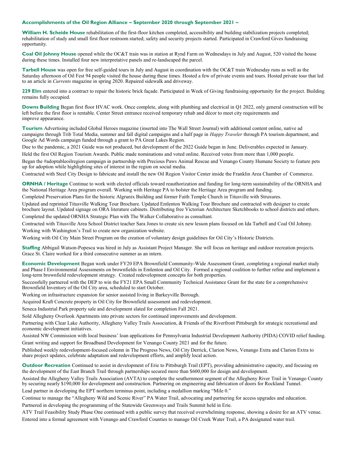#### **Accomplishments of the Oil Region Alliance ~ September 2020 through September 2021 ~**

**William H. Scheide House** rehabilitation of the first-floor kitchen completed, accessibility and building stabilization projects completed; rehabilitation of study and small first floor restroom started; safety and security projects started. Participated in Crawford Gives fundraising opportunity.

**Coal Oil Johnny House** opened while the OC&T train was in station at Rynd Farm on Wednesdays in July and August, 520 visited the house during these times. Installed four new interpretative panels and re-landscaped the parcel.

**Tarbell House** was open for free self-guided tours in July and August in coordination with the OC&T train Wednesday runs as well as the Saturday afternoon of Oil Fest 94 people visited the house during these times. Hosted a few of private events and tours. Hosted private tour that led to an article in *Currents* magazine in spring 2020. Repaired sidewalk and driveway.

**229 Elm** entered into a contract to repair the historic brick façade. Participated in Week of Giving fundraising opportunity for the project. Building remains fully occupied.

**Downs Building** Began first floor HVAC work. Once complete, along with plumbing and electrical in Q1 2022, only general construction will be left before the first floor is rentable. Center Street entrance received temporary rehab and décor to meet city requirements and improve appearance.

**Tourism** Advertising included Global Heroes magazine (inserted into The Wall Street Journal) with additional content online, native ad campaigns through Trib Total Media, summer and fall digital campaigns and a half page in *Happy Traveler* through PA tourism department, and Google Ad Words campaign funded through a grant to PA Great Lakes Region.

Due to the pandemic, a 2021 Guide was not produced, but development of the 2022 Guide began in June. Deliverables expected in January.

Held the first Oil Region Tourism Awards. Public made nominations and voted online. Received votes from more than 1,000 people.

Began the #adoptableoilregion campaign in partnership with Precious Paws Animal Rescue and Venango County Humane Society to feature pets up for adoption while highlighting sites of interest in the region on social media.

Contracted with Steel City Design to fabricate and install the new Oil Region Visitor Center inside the Franklin Area Chamber of Commerce.

**ORNHA / Heritage** Continue to work with elected officials toward reauthorization and funding for long-term sustainability of the ORNHA and the National Heritage Area program overall. Working with Heritage PA to bolster the Heritage Area program and funding.

Completed Preservation Plans for the historic Algrunix Building and former Faith Temple Church in Titusville with Struxures.

Updated and reprinted Titusville Walking Tour Brochure. Updated Emlenton Walking Tour Brochure and contracted with designer to create brochure layout. Updated signage on ORA literature cabinets. Distributing free Victorian Architecture Sketchbooks to school districts and others. Completed the updated ORNHA Strategic Plan with The Walker Collaborative as consultant.

Contracted with Titusville Area School District teacher Sara Jones to create six new lesson plans focused on Ida Tarbell and Coal Oil Johnny. Working with Washington's Trail to create new organization website.

Working with Oil City Main Street Program on the creation of voluntary design guidelines for Oil City's Historic Districts.

**Staffing** Abbigail Watson-Popescu was hired in July as Assistant Project Manager. She will focus on heritage and outdoor recreation projects. Grace St. Claire worked for a third consecutive summer as an intern.

**Economic Development** Began work under FY20 EPA Brownfield Community-Wide Assessment Grant, completing a regional market study and Phase I Environmental Assessments on brownfields in Emlenton and Oil City. Formed a regional coalition to further refine and implement a long-term brownfield redevelopment strategy. Created redevelopment concepts for both properties.

Successfully partnered with the DEP to win the FY21 EPA Small Community Technical Assistance Grant for the state for a comprehensive Brownfield Inventory of the Oil City area, scheduled to start October.

Working on infrastructure expansion for senior assisted living in Barkeyville Borough.

Acquired Kraft Concrete property in Oil City for Brownfield assessment and redevelopment.

Seneca Industrial Park property sale and development slated for completion Fall 2021.

Sold Allegheny Overlook Apartments into private sectors for continued improvements and development.

Partnering with Clear Lake Authority, Allegheny Valley Trails Association, & Friends of the Riverfront Pittsburgh for strategic recreational and economic development initiatives.

Assisted NW Commission with local business' loan applications for Pennsylvania Industrial Development Authority (PIDA) COVID relief funding. Grant writing and support for Broadband Development for Venango County 2021 and for the future.

Published weekly redevelopment-focused column in The Progress News, Oil City Derrick, Clarion News, Venango Extra and Clarion Extra to share project updates, celebrate adaptation and redevelopment efforts, and amplify local action.

**Outdoor Recreation** Continued to assist in development of Erie to Pittsburgh Trail (EPT), providing administrative capacity, and focusing on the development of the East Branch Trail through partnerships secured more than \$600,000 for design and development.

Assisted the Allegheny Valley Trails Association (AVTA) to complete the southernmost segment of the Allegheny River Trail in Venango County by securing nearly \$190,000 for development and construction. Partnering on engineering and fabrication of doors for Rockland Tunnel. Lead partner in developing the EPT northern terminus point, including a medallion marking "Mile 0."

Continue to manage the "Allegheny Wild and Scenic River" PA Water Trail, advocating and partnering for access upgrades and education.

Partnered in developing the programming of the Statewide Greenways and Trails Summit held in Erie.

ATV Trail Feasibility Study Phase One continued with a public survey that received overwhelming response, showing a desire for an ATV venue. Entered into a formal agreement with Venango and Crawford Counties to manage Oil Creek Water Trail, a PA designated water trail.